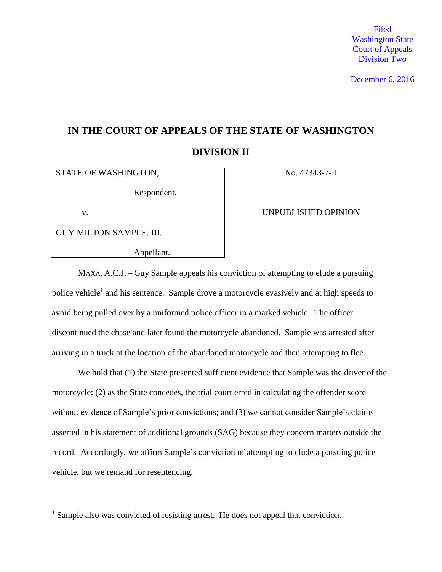Filed Washington State Court of Appeals Division Two

December 6, 2016

# **IN THE COURT OF APPEALS OF THE STATE OF WASHINGTON DIVISION II**

STATE OF WASHINGTON, No. 47343-7-II

Respondent,

 $\overline{a}$ 

GUY MILTON SAMPLE, III,

Appellant.

v. **UNPUBLISHED OPINION** 

MAXA, A.C.J. – Guy Sample appeals his conviction of attempting to elude a pursuing police vehicle<sup>1</sup> and his sentence. Sample drove a motorcycle evasively and at high speeds to avoid being pulled over by a uniformed police officer in a marked vehicle. The officer discontinued the chase and later found the motorcycle abandoned. Sample was arrested after arriving in a truck at the location of the abandoned motorcycle and then attempting to flee.

We hold that (1) the State presented sufficient evidence that Sample was the driver of the motorcycle; (2) as the State concedes, the trial court erred in calculating the offender score without evidence of Sample's prior convictions; and (3) we cannot consider Sample's claims asserted in his statement of additional grounds (SAG) because they concern matters outside the record. Accordingly, we affirm Sample's conviction of attempting to elude a pursuing police vehicle, but we remand for resentencing.

<sup>&</sup>lt;sup>1</sup> Sample also was convicted of resisting arrest. He does not appeal that conviction.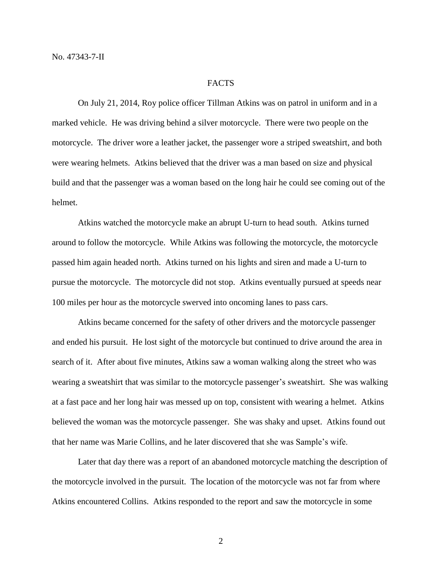#### FACTS

On July 21, 2014, Roy police officer Tillman Atkins was on patrol in uniform and in a marked vehicle. He was driving behind a silver motorcycle. There were two people on the motorcycle. The driver wore a leather jacket, the passenger wore a striped sweatshirt, and both were wearing helmets. Atkins believed that the driver was a man based on size and physical build and that the passenger was a woman based on the long hair he could see coming out of the helmet.

Atkins watched the motorcycle make an abrupt U-turn to head south. Atkins turned around to follow the motorcycle. While Atkins was following the motorcycle, the motorcycle passed him again headed north. Atkins turned on his lights and siren and made a U-turn to pursue the motorcycle. The motorcycle did not stop. Atkins eventually pursued at speeds near 100 miles per hour as the motorcycle swerved into oncoming lanes to pass cars.

Atkins became concerned for the safety of other drivers and the motorcycle passenger and ended his pursuit. He lost sight of the motorcycle but continued to drive around the area in search of it. After about five minutes, Atkins saw a woman walking along the street who was wearing a sweatshirt that was similar to the motorcycle passenger's sweatshirt. She was walking at a fast pace and her long hair was messed up on top, consistent with wearing a helmet. Atkins believed the woman was the motorcycle passenger. She was shaky and upset. Atkins found out that her name was Marie Collins, and he later discovered that she was Sample's wife.

Later that day there was a report of an abandoned motorcycle matching the description of the motorcycle involved in the pursuit. The location of the motorcycle was not far from where Atkins encountered Collins. Atkins responded to the report and saw the motorcycle in some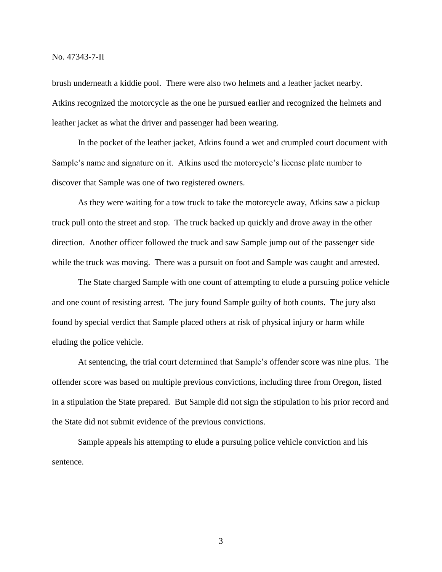brush underneath a kiddie pool. There were also two helmets and a leather jacket nearby. Atkins recognized the motorcycle as the one he pursued earlier and recognized the helmets and leather jacket as what the driver and passenger had been wearing.

In the pocket of the leather jacket, Atkins found a wet and crumpled court document with Sample's name and signature on it. Atkins used the motorcycle's license plate number to discover that Sample was one of two registered owners.

As they were waiting for a tow truck to take the motorcycle away, Atkins saw a pickup truck pull onto the street and stop. The truck backed up quickly and drove away in the other direction. Another officer followed the truck and saw Sample jump out of the passenger side while the truck was moving. There was a pursuit on foot and Sample was caught and arrested.

The State charged Sample with one count of attempting to elude a pursuing police vehicle and one count of resisting arrest. The jury found Sample guilty of both counts. The jury also found by special verdict that Sample placed others at risk of physical injury or harm while eluding the police vehicle.

At sentencing, the trial court determined that Sample's offender score was nine plus. The offender score was based on multiple previous convictions, including three from Oregon, listed in a stipulation the State prepared. But Sample did not sign the stipulation to his prior record and the State did not submit evidence of the previous convictions.

Sample appeals his attempting to elude a pursuing police vehicle conviction and his sentence.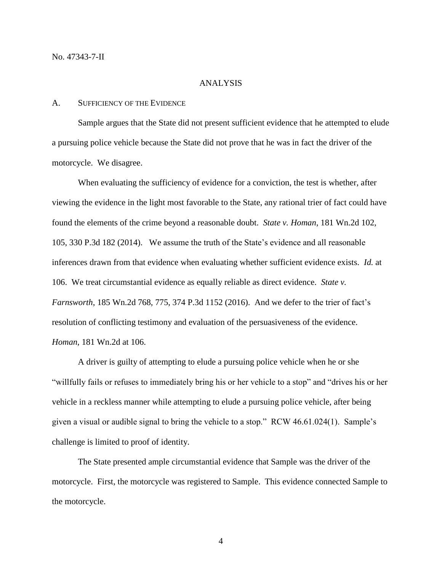#### ANALYSIS

### A. SUFFICIENCY OF THE EVIDENCE

Sample argues that the State did not present sufficient evidence that he attempted to elude a pursuing police vehicle because the State did not prove that he was in fact the driver of the motorcycle. We disagree.

When evaluating the sufficiency of evidence for a conviction, the test is whether, after viewing the evidence in the light most favorable to the State, any rational trier of fact could have found the elements of the crime beyond a reasonable doubt. *State v. Homan*, 181 Wn.2d 102, 105, 330 P.3d 182 (2014). We assume the truth of the State's evidence and all reasonable inferences drawn from that evidence when evaluating whether sufficient evidence exists. *Id.* at 106. We treat circumstantial evidence as equally reliable as direct evidence. *State v. Farnsworth*, 185 Wn.2d 768, 775, 374 P.3d 1152 (2016). And we defer to the trier of fact's resolution of conflicting testimony and evaluation of the persuasiveness of the evidence. *Homan*, 181 Wn.2d at 106.

A driver is guilty of attempting to elude a pursuing police vehicle when he or she "willfully fails or refuses to immediately bring his or her vehicle to a stop" and "drives his or her vehicle in a reckless manner while attempting to elude a pursuing police vehicle, after being given a visual or audible signal to bring the vehicle to a stop." RCW 46.61.024(1). Sample's challenge is limited to proof of identity.

The State presented ample circumstantial evidence that Sample was the driver of the motorcycle. First, the motorcycle was registered to Sample. This evidence connected Sample to the motorcycle.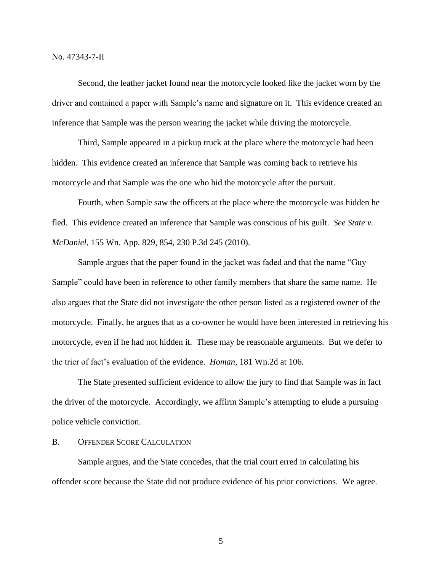No. 47343-7-II

Second, the leather jacket found near the motorcycle looked like the jacket worn by the driver and contained a paper with Sample's name and signature on it. This evidence created an inference that Sample was the person wearing the jacket while driving the motorcycle.

Third, Sample appeared in a pickup truck at the place where the motorcycle had been hidden. This evidence created an inference that Sample was coming back to retrieve his motorcycle and that Sample was the one who hid the motorcycle after the pursuit.

Fourth, when Sample saw the officers at the place where the motorcycle was hidden he fled. This evidence created an inference that Sample was conscious of his guilt. *See State v. McDaniel*, 155 Wn. App. 829, 854, 230 P.3d 245 (2010).

Sample argues that the paper found in the jacket was faded and that the name "Guy Sample" could have been in reference to other family members that share the same name. He also argues that the State did not investigate the other person listed as a registered owner of the motorcycle. Finally, he argues that as a co-owner he would have been interested in retrieving his motorcycle, even if he had not hidden it. These may be reasonable arguments. But we defer to the trier of fact's evaluation of the evidence. *Homan*, 181 Wn.2d at 106.

The State presented sufficient evidence to allow the jury to find that Sample was in fact the driver of the motorcycle. Accordingly, we affirm Sample's attempting to elude a pursuing police vehicle conviction.

### B. OFFENDER SCORE CALCULATION

Sample argues, and the State concedes, that the trial court erred in calculating his offender score because the State did not produce evidence of his prior convictions. We agree.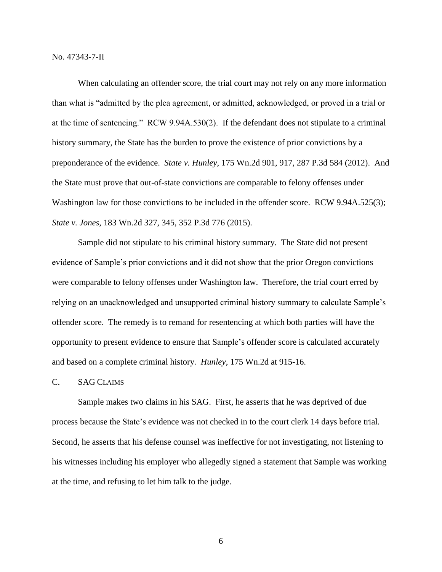No. 47343-7-II

When calculating an offender score, the trial court may not rely on any more information than what is "admitted by the plea agreement, or admitted, acknowledged, or proved in a trial or at the time of sentencing." RCW 9.94A.530(2). If the defendant does not stipulate to a criminal history summary, the State has the burden to prove the existence of prior convictions by a preponderance of the evidence. *State v. Hunley*, 175 Wn.2d 901, 917, 287 P.3d 584 (2012). And the State must prove that out-of-state convictions are comparable to felony offenses under Washington law for those convictions to be included in the offender score. RCW 9.94A.525(3); *State v. Jones*, 183 Wn.2d 327, 345, 352 P.3d 776 (2015).

Sample did not stipulate to his criminal history summary. The State did not present evidence of Sample's prior convictions and it did not show that the prior Oregon convictions were comparable to felony offenses under Washington law. Therefore, the trial court erred by relying on an unacknowledged and unsupported criminal history summary to calculate Sample's offender score. The remedy is to remand for resentencing at which both parties will have the opportunity to present evidence to ensure that Sample's offender score is calculated accurately and based on a complete criminal history. *Hunley*, 175 Wn.2d at 915-16.

## C. SAG CLAIMS

Sample makes two claims in his SAG. First, he asserts that he was deprived of due process because the State's evidence was not checked in to the court clerk 14 days before trial. Second, he asserts that his defense counsel was ineffective for not investigating, not listening to his witnesses including his employer who allegedly signed a statement that Sample was working at the time, and refusing to let him talk to the judge.